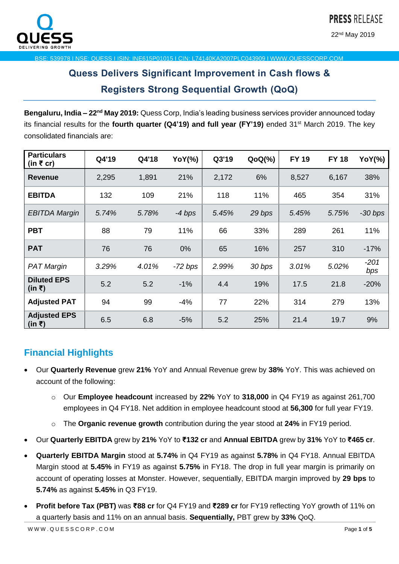

22nd May 2019

#### BSE: 539978 I NSE: QUESS I ISIN: INE615P01015 I CIN: L74140KA2007PLC043909 I WWW.QUESSCORP.COM

# **Quess Delivers Significant Improvement in Cash flows & Registers Strong Sequential Growth (QoQ)**

**Bengaluru, India - 22<sup>nd</sup> May 2019:** Quess Corp, India's leading business services provider announced today its financial results for the **fourth quarter (Q4'19) and full year (FY'19)** ended 31st March 2019. The key consolidated financials are:

| <b>Particulars</b><br>(in $\bar{\tau}$ cr) | Q4'19 | Q4'18 | YoY(%)    | Q3'19 | $QoQ(\%)$ | <b>FY 19</b> | <b>FY 18</b> | YoY(%)        |
|--------------------------------------------|-------|-------|-----------|-------|-----------|--------------|--------------|---------------|
| <b>Revenue</b>                             | 2,295 | 1,891 | 21%       | 2,172 | 6%        | 8,527        | 6,167        | 38%           |
| <b>EBITDA</b>                              | 132   | 109   | 21%       | 118   | 11%       | 465          | 354          | 31%           |
| <b>EBITDA Margin</b>                       | 5.74% | 5.78% | $-4$ bps  | 5.45% | 29 bps    | 5.45%        | 5.75%        | $-30$ bps     |
| <b>PBT</b>                                 | 88    | 79    | 11%       | 66    | 33%       | 289          | 261          | 11%           |
| <b>PAT</b>                                 | 76    | 76    | 0%        | 65    | 16%       | 257          | 310          | $-17%$        |
| <b>PAT Margin</b>                          | 3.29% | 4.01% | $-72$ bps | 2.99% | 30 bps    | 3.01%        | 5.02%        | $-201$<br>bps |
| <b>Diluted EPS</b><br>(in ₹)               | 5.2   | 5.2   | $-1%$     | 4.4   | 19%       | 17.5         | 21.8         | $-20%$        |
| <b>Adjusted PAT</b>                        | 94    | 99    | $-4%$     | 77    | 22%       | 314          | 279          | 13%           |
| <b>Adjusted EPS</b><br>(in ₹)              | 6.5   | 6.8   | $-5%$     | 5.2   | 25%       | 21.4         | 19.7         | 9%            |

## **Financial Highlights**

- Our **Quarterly Revenue** grew **21%** YoY and Annual Revenue grew by **38%** YoY. This was achieved on account of the following:
	- o Our **Employee headcount** increased by **22%** YoY to **318,000** in Q4 FY19 as against 261,700 employees in Q4 FY18. Net addition in employee headcount stood at **56,300** for full year FY19.
	- o The **Organic revenue growth** contribution during the year stood at **24%** in FY19 period.
- Our **Quarterly EBITDA** grew by **21%** YoY to **₹132 cr** and **Annual EBITDA** grew by **31%** YoY to **₹465 cr**.
- **Quarterly EBITDA Margin** stood at **5.74%** in Q4 FY19 as against **5.78%** in Q4 FY18. Annual EBITDA Margin stood at **5.45%** in FY19 as against **5.75%** in FY18. The drop in full year margin is primarily on account of operating losses at Monster. However, sequentially, EBITDA margin improved by **29 bps** to **5.74%** as against **5.45%** in Q3 FY19.
- **Profit before Tax (PBT)** was **₹88 cr** for Q4 FY19 and **₹289 cr** for FY19 reflecting YoY growth of 11% on a quarterly basis and 11% on an annual basis. **Sequentially,** PBT grew by **33%** QoQ.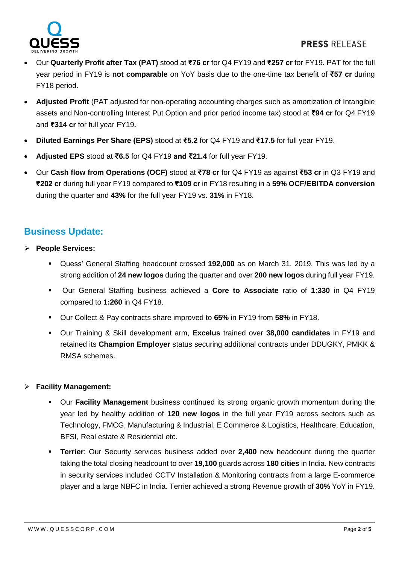

- Our **Quarterly Profit after Tax (PAT)** stood at **₹76 cr** for Q4 FY19 and **₹257 cr** for FY19. PAT for the full year period in FY19 is **not comparable** on YoY basis due to the one-time tax benefit of **₹57 cr** during FY18 period.
- **Adjusted Profit** (PAT adjusted for non-operating accounting charges such as amortization of Intangible assets and Non-controlling Interest Put Option and prior period income tax) stood at **₹94 cr** for Q4 FY19 and **₹314 cr** for full year FY19**.**
- **Diluted Earnings Per Share (EPS)** stood at **₹5.2** for Q4 FY19 and **₹17.5** for full year FY19.
- **Adjusted EPS** stood at **₹6.5** for Q4 FY19 **and ₹21.4** for full year FY19.
- Our **Cash flow from Operations (OCF)** stood at **₹78 cr** for Q4 FY19 as against **₹53 cr** in Q3 FY19 and **₹202 cr** during full year FY19 compared to **₹109 cr** in FY18 resulting in a **59% OCF/EBITDA conversion** during the quarter and **43%** for the full year FY19 vs. **31%** in FY18.

# **Business Update:**

- **People Services:** 
	- Quess' General Staffing headcount crossed **192,000** as on March 31, 2019. This was led by a strong addition of **24 new logos** during the quarter and over **200 new logos** during full year FY19.
	- Our General Staffing business achieved a **Core to Associate** ratio of **1:330** in Q4 FY19 compared to **1:260** in Q4 FY18.
	- Our Collect & Pay contracts share improved to **65%** in FY19 from **58%** in FY18.
	- Our Training & Skill development arm, **Excelus** trained over **38,000 candidates** in FY19 and retained its **Champion Employer** status securing additional contracts under DDUGKY, PMKK & RMSA schemes.

## **Facility Management:**

- Our **Facility Management** business continued its strong organic growth momentum during the year led by healthy addition of **120 new logos** in the full year FY19 across sectors such as Technology, FMCG, Manufacturing & Industrial, E Commerce & Logistics, Healthcare, Education, BFSI, Real estate & Residential etc.
- **Terrier**: Our Security services business added over **2,400** new headcount during the quarter taking the total closing headcount to over **19,100** guards across **180 cities** in India. New contracts in security services included CCTV Installation & Monitoring contracts from a large E-commerce player and a large NBFC in India. Terrier achieved a strong Revenue growth of **30%** YoY in FY19.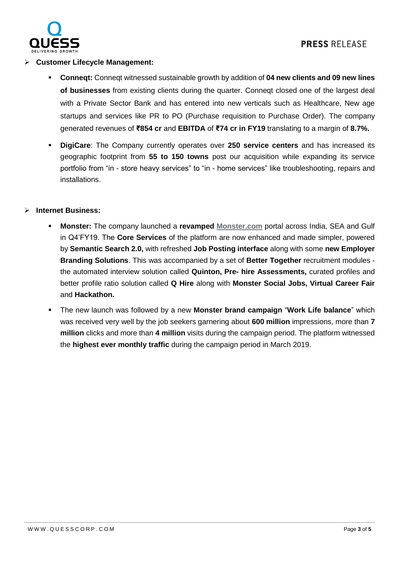



- **Customer Lifecycle Management:**
	- **Conneqt:** Conneqt witnessed sustainable growth by addition of **04 new clients and 09 new lines of businesses** from existing clients during the quarter. Conneqt closed one of the largest deal with a Private Sector Bank and has entered into new verticals such as Healthcare, New age startups and services like PR to PO (Purchase requisition to Purchase Order). The company generated revenues of **₹854 cr** and **EBITDA** of **₹74 cr in FY19** translating to a margin of **8.7%.**
	- **DigiCare**: The Company currently operates over **250 service centers** and has increased its geographic footprint from **55 to 150 towns** post our acquisition while expanding its service portfolio from "in - store heavy services" to "in - home services" like troubleshooting, repairs and installations.

### **Internet Business:**

- **Monster:** The company launched a **revamped [Monster.com](https://ind01.safelinks.protection.outlook.com/?url=https%3A%2F%2Flinkprotect.cudasvc.com%2Furl%3Fa%3Dhttps%253a%252f%252fMonster.com%26c%3DE%2C1%2Cdfuth7HgKE6fz12Sif-D5vtXJk_KF6S_aU5KoAMFULiVWvz1J8HiGBeYi5SkS2FRj7cmfyLA9yOKz-CojPRs_x0huXXbOq2LPbPYrMT8Eg%2C%2C%26typo%3D1&data=02%7C01%7C%7C915c9f9242ed4c06e1a308d6de7f0099%7C7870c4334d9343379aff75a5d0074084%7C0%7C0%7C636941034389362495&sdata=eSl0FZpLhtLpzl7EUsAgbBK2adyhIjejyZ7D0zGQn9c%3D&reserved=0)** portal across India, SEA and Gulf in Q4'FY19. The **Core Services** of the platform are now enhanced and made simpler, powered by **Semantic Search 2.0,** with refreshed **Job Posting interface** along with some **new Employer Branding Solutions**. This was accompanied by a set of **Better Together** recruitment modules the automated interview solution called **Quinton, Pre- hire Assessments,** curated profiles and better profile ratio solution called **Q Hire** along with **Monster Social Jobs, Virtual Career Fair**  and **Hackathon.**
- The new launch was followed by a new **Monster brand campaign** "**Work Life balance**" which was received very well by the job seekers garnering about **600 million** impressions, more than **7 million** clicks and more than **4 million** visits during the campaign period. The platform witnessed the **highest ever monthly traffic** during the campaign period in March 2019.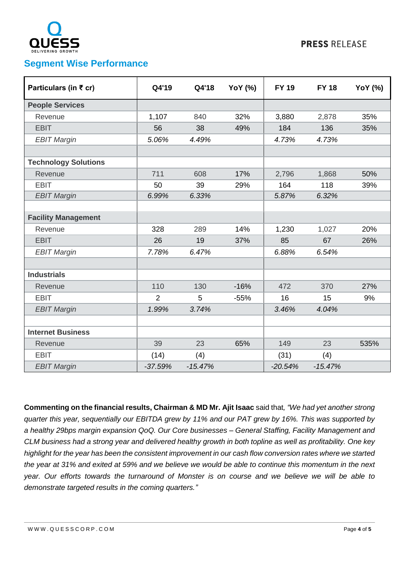

# **Segment Wise Performance**

| Particulars (in $\bar{\tau}$ cr) | Q4'19          | Q4'18     | <b>YoY</b> (%) | <b>FY 19</b> | <b>FY 18</b> | YoY (%) |
|----------------------------------|----------------|-----------|----------------|--------------|--------------|---------|
|                                  |                |           |                |              |              |         |
| <b>People Services</b>           |                |           |                |              |              |         |
| Revenue                          | 1,107          | 840       | 32%            | 3,880        | 2,878        | 35%     |
| <b>EBIT</b>                      | 56             | 38        | 49%            | 184          | 136          | 35%     |
| <b>EBIT Margin</b>               | 5.06%          | 4.49%     |                | 4.73%        | 4.73%        |         |
|                                  |                |           |                |              |              |         |
| <b>Technology Solutions</b>      |                |           |                |              |              |         |
| Revenue                          | 711            | 608       | 17%            | 2,796        | 1,868        | 50%     |
| <b>EBIT</b>                      | 50             | 39        | 29%            | 164          | 118          | 39%     |
| <b>EBIT Margin</b>               | 6.99%          | 6.33%     |                | 5.87%        | 6.32%        |         |
|                                  |                |           |                |              |              |         |
| <b>Facility Management</b>       |                |           |                |              |              |         |
| Revenue                          | 328            | 289       | 14%            | 1,230        | 1,027        | 20%     |
| <b>EBIT</b>                      | 26             | 19        | 37%            | 85           | 67           | 26%     |
| <b>EBIT Margin</b>               | 7.78%          | 6.47%     |                | 6.88%        | 6.54%        |         |
|                                  |                |           |                |              |              |         |
| <b>Industrials</b>               |                |           |                |              |              |         |
| Revenue                          | 110            | 130       | $-16%$         | 472          | 370          | 27%     |
| <b>EBIT</b>                      | $\overline{2}$ | 5         | $-55%$         | 16           | 15           | 9%      |
| <b>EBIT Margin</b>               | 1.99%          | 3.74%     |                | 3.46%        | 4.04%        |         |
|                                  |                |           |                |              |              |         |
| <b>Internet Business</b>         |                |           |                |              |              |         |
| Revenue                          | 39             | 23        | 65%            | 149          | 23           | 535%    |
| <b>EBIT</b>                      | (14)           | (4)       |                | (31)         | (4)          |         |
| <b>EBIT Margin</b>               | $-37.59%$      | $-15.47%$ |                | $-20.54%$    | $-15.47%$    |         |

**Commenting on the financial results, Chairman & MD Mr. Ajit Isaac** said that*, "We had yet another strong quarter this year, sequentially our EBITDA grew by 11% and our PAT grew by 16%. This was supported by a healthy 29bps margin expansion QoQ. Our Core businesses – General Staffing, Facility Management and CLM business had a strong year and delivered healthy growth in both topline as well as profitability. One key highlight for the year has been the consistent improvement in our cash flow conversion rates where we started the year at 31% and exited at 59% and we believe we would be able to continue this momentum in the next year. Our efforts towards the turnaround of Monster is on course and we believe we will be able to demonstrate targeted results in the coming quarters."*